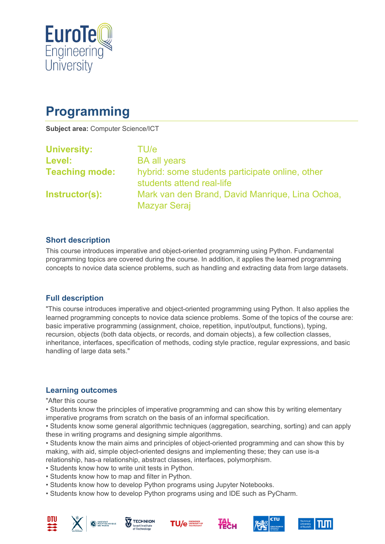

# **Programming**

**Subject area:** Computer Science/ICT

| <b>University:</b>    | TU/e                                                                         |
|-----------------------|------------------------------------------------------------------------------|
| Level:                | <b>BA all years</b>                                                          |
| <b>Teaching mode:</b> | hybrid: some students participate online, other<br>students attend real-life |
| Instructor(s):        | Mark van den Brand, David Manrique, Lina Ochoa,<br><b>Mazyar Seraj</b>       |

#### **Short description**

This course introduces imperative and object-oriented programming using Python. Fundamental programming topics are covered during the course. In addition, it applies the learned programming concepts to novice data science problems, such as handling and extracting data from large datasets.

#### **Full description**

"This course introduces imperative and object-oriented programming using Python. It also applies the learned programming concepts to novice data science problems. Some of the topics of the course are: basic imperative programming (assignment, choice, repetition, input/output, functions), typing, recursion, objects (both data objects, or records, and domain objects), a few collection classes, inheritance, interfaces, specification of methods, coding style practice, regular expressions, and basic handling of large data sets."

## **Learning outcomes**

"After this course

• Students know the principles of imperative programming and can show this by writing elementary imperative programs from scratch on the basis of an informal specification.

• Students know some general algorithmic techniques (aggregation, searching, sorting) and can apply these in writing programs and designing simple algorithms.

• Students know the main aims and principles of object-oriented programming and can show this by making, with aid, simple object-oriented designs and implementing these; they can use is-a relationship, has-a relationship, abstract classes, interfaces, polymorphism.

- Students know how to write unit tests in Python.
- Students know how to map and filter in Python.
- Students know how to develop Python programs using Jupyter Notebooks.
- Students know how to develop Python programs using and IDE such as PyCharm.











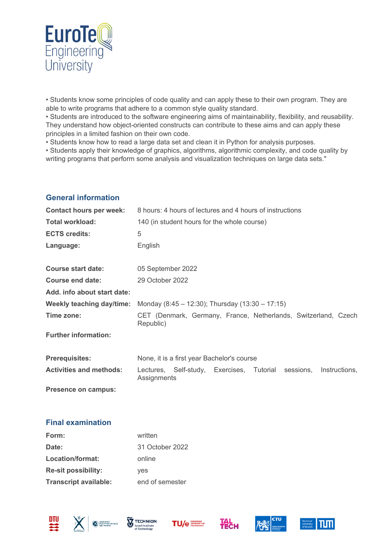

• Students know some principles of code quality and can apply these to their own program. They are able to write programs that adhere to a common style quality standard.

• Students are introduced to the software engineering aims of maintainability, flexibility, and reusability. They understand how object-oriented constructs can contribute to these aims and can apply these principles in a limited fashion on their own code.

• Students know how to read a large data set and clean it in Python for analysis purposes.

• Students apply their knowledge of graphics, algorithms, algorithmic complexity, and code quality by writing programs that perform some analysis and visualization techniques on large data sets."

#### **General information**

| <b>Contact hours per week:</b> | 8 hours: 4 hours of lectures and 4 hours of instructions                            |  |  |
|--------------------------------|-------------------------------------------------------------------------------------|--|--|
| <b>Total workload:</b>         | 140 (in student hours for the whole course)                                         |  |  |
| <b>ECTS credits:</b>           | 5                                                                                   |  |  |
| Language:                      | English                                                                             |  |  |
| <b>Course start date:</b>      | 05 September 2022                                                                   |  |  |
| <b>Course end date:</b>        | 29 October 2022                                                                     |  |  |
| Add. info about start date:    |                                                                                     |  |  |
| Weekly teaching day/time:      | Monday (8:45 – 12:30); Thursday (13:30 – 17:15)                                     |  |  |
| Time zone:                     | CET (Denmark, Germany, France, Netherlands, Switzerland, Czech<br>Republic)         |  |  |
| <b>Further information:</b>    |                                                                                     |  |  |
| <b>Prerequisites:</b>          | None, it is a first year Bachelor's course                                          |  |  |
| <b>Activities and methods:</b> | Lectures, Self-study, Exercises, Tutorial sessions,<br>Instructions,<br>Assignments |  |  |
| Presence on campus:            |                                                                                     |  |  |

#### **Final examination**

| Form:                        | written         |
|------------------------------|-----------------|
| Date:                        | 31 October 2022 |
| Location/format:             | online          |
| <b>Re-sit possibility:</b>   | yes             |
| <b>Transcript available:</b> | end of semester |